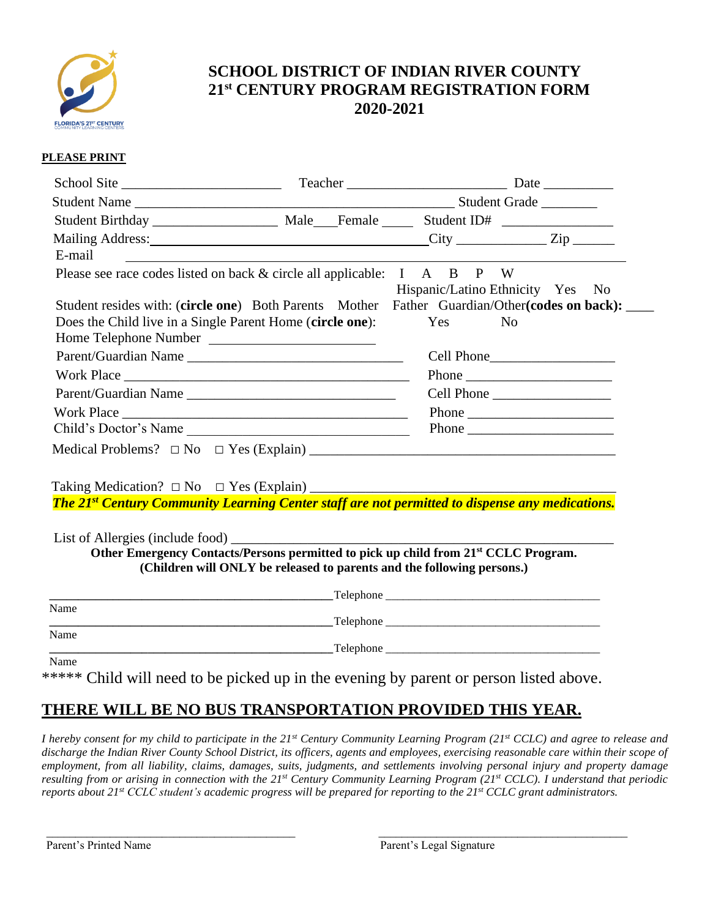

## **SCHOOL DISTRICT OF INDIAN RIVER COUNTY 21st CENTURY PROGRAM REGISTRATION FORM 2020-2021**

#### **PLEASE PRINT**

| Mailing Address: <u>City City</u> City City City                                                                               |                                  |  |
|--------------------------------------------------------------------------------------------------------------------------------|----------------------------------|--|
| E-mail<br><u> 1980 - Andrea State Barbara, amerikan personal di sebagai personal di sebagai personal di sebagai personal d</u> |                                  |  |
| Please see race codes listed on back & circle all applicable: I A B P W                                                        |                                  |  |
|                                                                                                                                | Hispanic/Latino Ethnicity Yes No |  |
| Student resides with: (circle one) Both Parents Mother Father Guardian/Other(codes on back):                                   |                                  |  |
| Does the Child live in a Single Parent Home (circle one): Yes                                                                  | No.                              |  |
| Home Telephone Number                                                                                                          |                                  |  |
| Parent/Guardian Name                                                                                                           | Cell Phone                       |  |
|                                                                                                                                |                                  |  |
| Parent/Guardian Name                                                                                                           | Cell Phone                       |  |
| Work Place                                                                                                                     |                                  |  |
| Child's Doctor's Name                                                                                                          |                                  |  |
|                                                                                                                                |                                  |  |

Taking Medication? □ No □ Yes (Explain) \_\_\_\_\_\_\_\_\_\_\_\_\_\_\_\_\_\_\_\_\_\_\_\_\_\_\_\_\_\_\_\_\_\_\_\_\_\_\_\_\_\_\_\_

*The 21st Century Community Learning Center staff are not permitted to dispense any medications.*

List of Allergies (include food) **Other Emergency Contacts/Persons permitted to pick up child from 21st CCLC Program. (Children will ONLY be released to parents and the following persons.)**

|      | Telephone |
|------|-----------|
| Name |           |
|      | Telephone |
| Name |           |
|      | Telephone |
| Name |           |

\*\*\*\*\* Child will need to be picked up in the evening by parent or person listed above.

# **THERE WILL BE NO BUS TRANSPORTATION PROVIDED THIS YEAR.**

 $\Box$ 

*I hereby consent for my child to participate in the 21st Century Community Learning Program (21st CCLC) and agree to release and discharge the Indian River County School District, its officers, agents and employees, exercising reasonable care within their scope of employment, from all liability, claims, damages, suits, judgments, and settlements involving personal injury and property damage resulting from or arising in connection with the 21st Century Community Learning Program (21st CCLC). I understand that periodic reports about 21st CCLC student's academic progress will be prepared for reporting to the 21st CCLC grant administrators.*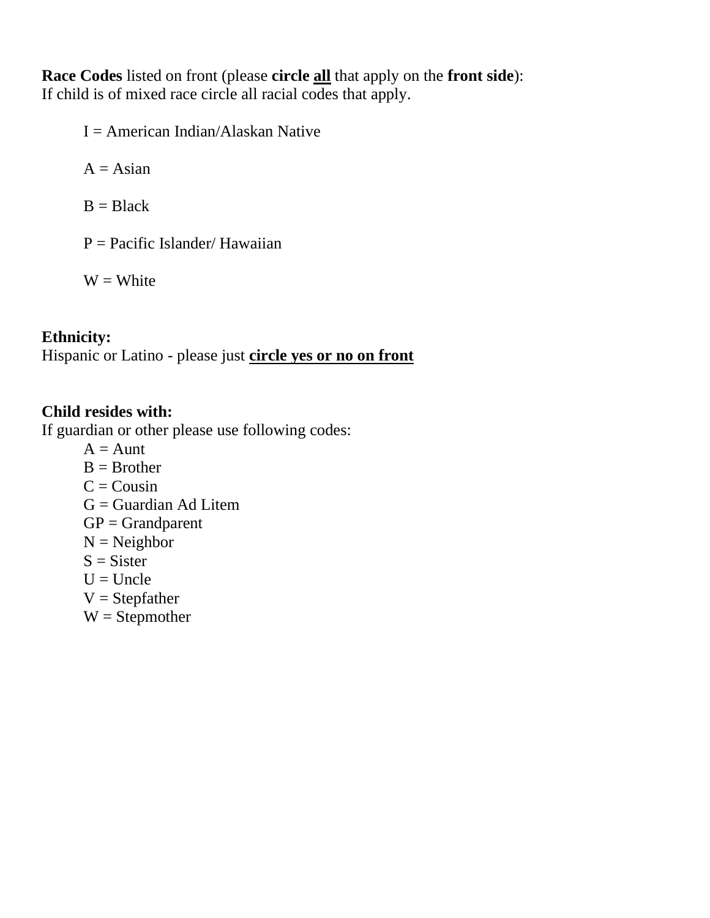**Race Codes** listed on front (please **circle all** that apply on the **front side**): If child is of mixed race circle all racial codes that apply.

 $I =$  American Indian/Alaskan Native

 $A = Asian$ 

 $B = Black$ 

 $P = Pacific Islander/Hawaiian$ 

 $W = White$ 

### **Ethnicity:**

Hispanic or Latino - please just **circle yes or no on front**

### **Child resides with:**

If guardian or other please use following codes:

- $A = A$ unt
- $B = Brother$
- $C = \text{Cousin}$
- $G =$ Guardian Ad Litem
- $GP = Grandparent$
- $N = Neighbour$
- $S = Sister$
- $U =$ Uncle
- $V =$ Stepfather
- $W =$  Stepmother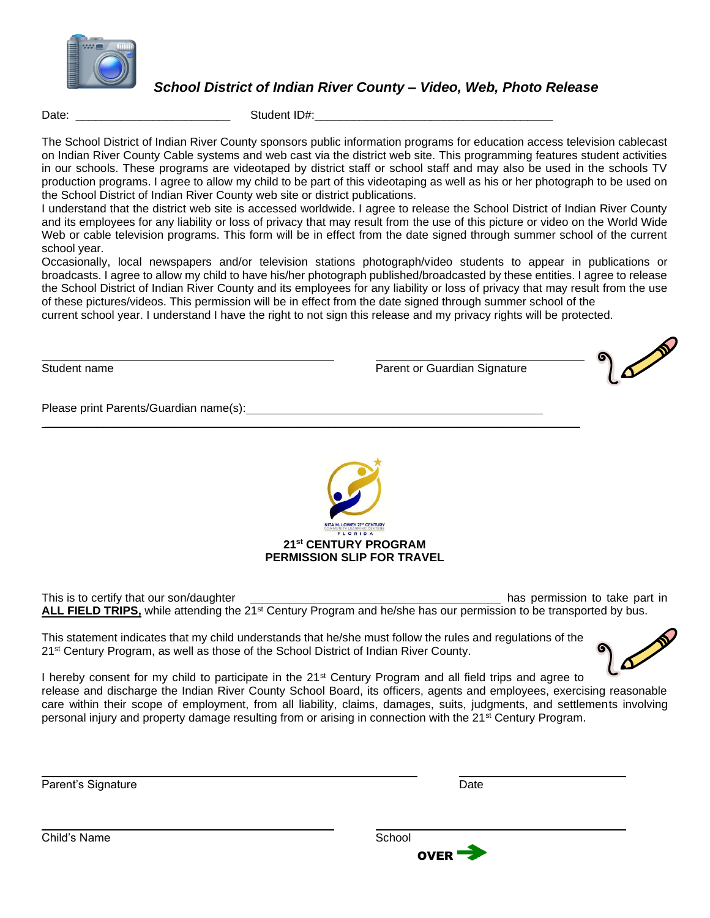

*School District of Indian River County – Video, Web, Photo Release*

Date: \_\_\_\_\_\_\_\_\_\_\_\_\_\_\_\_\_\_\_\_\_\_\_\_ Student ID#:\_\_\_\_\_\_\_\_\_\_\_\_\_\_\_\_\_\_\_\_\_\_\_\_\_\_\_\_\_\_\_\_\_\_\_\_\_

The School District of Indian River County sponsors public information programs for education access television cablecast on Indian River County Cable systems and web cast via the district web site. This programming features student activities in our schools. These programs are videotaped by district staff or school staff and may also be used in the schools TV production programs. I agree to allow my child to be part of this videotaping as well as his or her photograph to be used on the School District of Indian River County web site or district publications.

I understand that the district web site is accessed worldwide. I agree to release the School District of Indian River County and its employees for any liability or loss of privacy that may result from the use of this picture or video on the World Wide Web or cable television programs. This form will be in effect from the date signed through summer school of the current school year.

Occasionally, local newspapers and/or television stations photograph/video students to appear in publications or broadcasts. I agree to allow my child to have his/her photograph published/broadcasted by these entities. I agree to release the School District of Indian River County and its employees for any liability or loss of privacy that may result from the use of these pictures/videos. This permission will be in effect from the date signed through summer school of the

current school year. I understand I have the right to not sign this release and my privacy rights will be protected.

 $\mathcal{L}_\mathcal{L} = \mathcal{L}_\mathcal{L} = \mathcal{L}_\mathcal{L} = \mathcal{L}_\mathcal{L} = \mathcal{L}_\mathcal{L} = \mathcal{L}_\mathcal{L} = \mathcal{L}_\mathcal{L} = \mathcal{L}_\mathcal{L} = \mathcal{L}_\mathcal{L} = \mathcal{L}_\mathcal{L} = \mathcal{L}_\mathcal{L} = \mathcal{L}_\mathcal{L} = \mathcal{L}_\mathcal{L} = \mathcal{L}_\mathcal{L} = \mathcal{L}_\mathcal{L} = \mathcal{L}_\mathcal{L} = \mathcal{L}_\mathcal{L}$ 

Student name **Parent or Guardian Signature** Parent or Guardian Signature

Please print Parents/Guardian name(s):



This is to certify that our son/daughter has permission to take part in ALL FIELD TRIPS, while attending the 2<sup>1st</sup> Century Program and he/she has our permission to be transported by bus.

This statement indicates that my child understands that he/she must follow the rules and regulations of the 21<sup>st</sup> Century Program, as well as those of the School District of Indian River County.



I hereby consent for my child to participate in the 21<sup>st</sup> Century Program and all field trips and agree to release and discharge the Indian River County School Board, its officers, agents and employees, exercising reasonable care within their scope of employment, from all liability, claims, damages, suits, judgments, and settlements involving personal injury and property damage resulting from or arising in connection with the 21st Century Program.

Parent's Signature Date Date Communications and Date Date Date



Child's Name School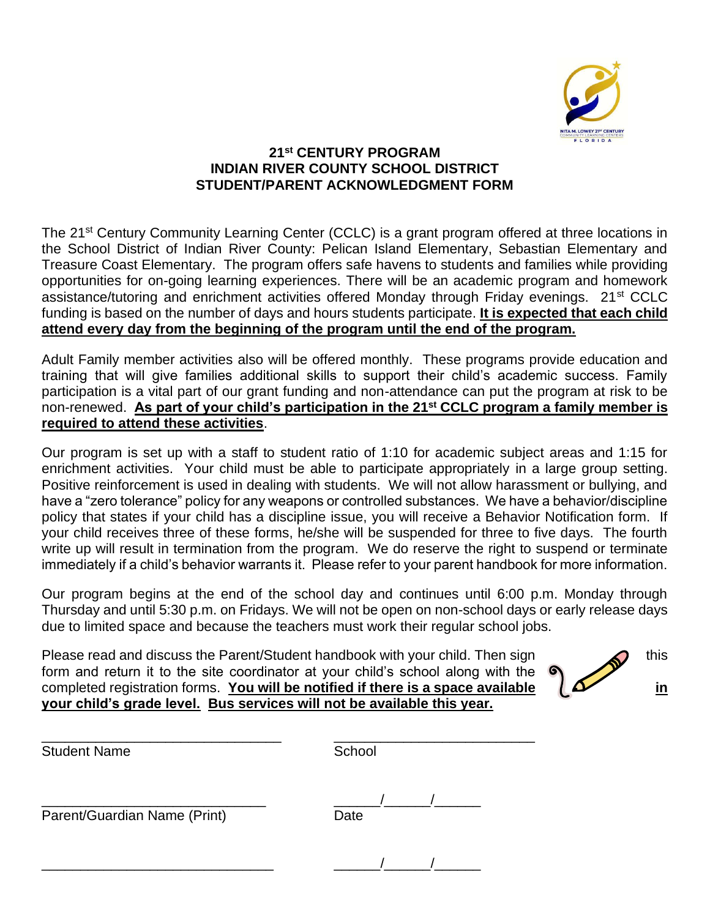

#### **21st CENTURY PROGRAM INDIAN RIVER COUNTY SCHOOL DISTRICT STUDENT/PARENT ACKNOWLEDGMENT FORM**

The 21<sup>st</sup> Century Community Learning Center (CCLC) is a grant program offered at three locations in the School District of Indian River County: Pelican Island Elementary, Sebastian Elementary and Treasure Coast Elementary. The program offers safe havens to students and families while providing opportunities for on-going learning experiences. There will be an academic program and homework assistance/tutoring and enrichment activities offered Monday through Friday evenings. 21st CCLC funding is based on the number of days and hours students participate. **It is expected that each child attend every day from the beginning of the program until the end of the program.**

Adult Family member activities also will be offered monthly. These programs provide education and training that will give families additional skills to support their child's academic success. Family participation is a vital part of our grant funding and non-attendance can put the program at risk to be non-renewed. **As part of your child's participation in the 21st CCLC program a family member is required to attend these activities**.

Our program is set up with a staff to student ratio of 1:10 for academic subject areas and 1:15 for enrichment activities. Your child must be able to participate appropriately in a large group setting. Positive reinforcement is used in dealing with students. We will not allow harassment or bullying, and have a "zero tolerance" policy for any weapons or controlled substances. We have a behavior/discipline policy that states if your child has a discipline issue, you will receive a Behavior Notification form. If your child receives three of these forms, he/she will be suspended for three to five days. The fourth write up will result in termination from the program. We do reserve the right to suspend or terminate immediately if a child's behavior warrants it. Please refer to your parent handbook for more information.

Our program begins at the end of the school day and continues until 6:00 p.m. Monday through Thursday and until 5:30 p.m. on Fridays. We will not be open on non-school days or early release days due to limited space and because the teachers must work their regular school jobs.

Please read and discuss the Parent/Student handbook with your child. Then sign  $\bigcirc$  this form and return it to the site coordinator at your child's school along with the completed registration forms. **You will be notified if there is a space available**  $\Delta$  **in your child's grade level. Bus services will not be available this year.**



| <b>Student Name</b>          | School |  |  |
|------------------------------|--------|--|--|
| Parent/Guardian Name (Print) | Date   |  |  |
|                              |        |  |  |